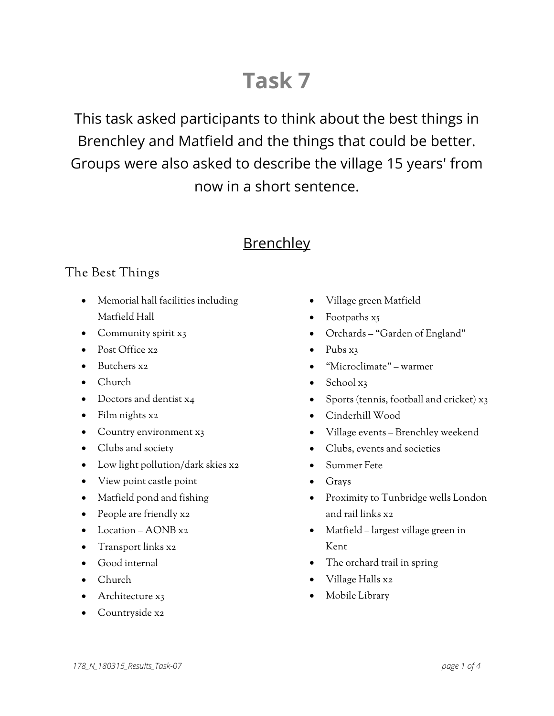# **Task 7**

This task asked participants to think about the best things in Brenchley and Matfield and the things that could be better. Groups were also asked to describe the village 15 years' from now in a short sentence.

# **Brenchley**

#### The Best Things

- Memorial hall facilities including Matfield Hall
- Community spirit x3
- Post Office x2
- Butchers x2
- Church
- Doctors and dentist x4
- Film nights x2
- Country environment x3
- Clubs and society
- Low light pollution/dark skies x2
- View point castle point
- Matfield pond and fishing
- People are friendly x2
- Location AONB x2
- Transport links x2
- Good internal
- Church
- Architecture x3
- Countryside x2
- Village green Matfield
- Footpaths x5
- Orchards "Garden of England"
- $\bullet$  Pubs  $x_3$
- "Microclimate" warmer
- School x3
- Sports (tennis, football and cricket) x3
- Cinderhill Wood
- Village events Brenchley weekend
- Clubs, events and societies
- Summer Fete
- Grays
- Proximity to Tunbridge wells London and rail links x2
- Matfield largest village green in Kent
- The orchard trail in spring
- Village Halls x2
- Mobile Library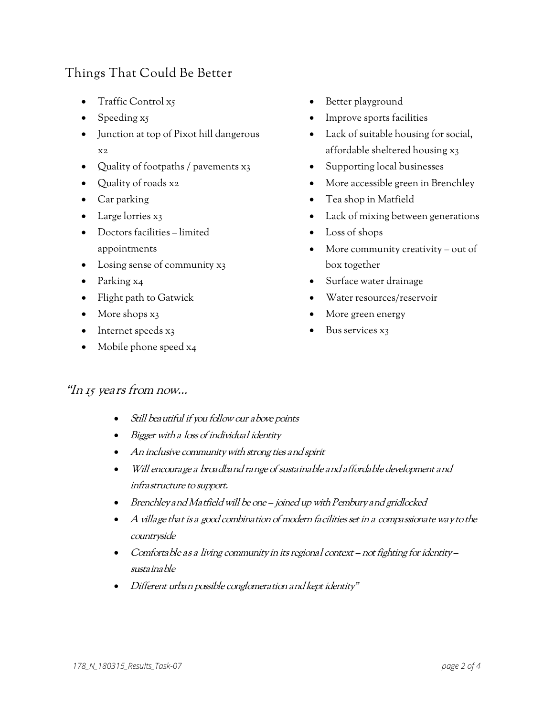### Things That Could Be Better

- Traffic Control x5
- Speeding x5
- Junction at top of Pixot hill dangerous x2
- Quality of footpaths / pavements x3
- Quality of roads x2
- Car parking
- Large lorries x3
- Doctors facilities limited appointments
- Losing sense of community x<sub>3</sub>
- Parking x4
- Flight path to Gatwick
- More shops x<sub>3</sub>
- Internet speeds x3
- Mobile phone speed x4
- Better playground
- Improve sports facilities
- Lack of suitable housing for social, affordable sheltered housing x3
- Supporting local businesses
- More accessible green in Brenchley
- Tea shop in Matfield
- Lack of mixing between generations
- Loss of shops
- More community creativity out of box together
- Surface water drainage
- Water resources/reservoir
- More green energy
- Bus services x3

#### "In 15 years from now…

- Still beautiful if you follow our above points
- Bigger with a loss of individual identity
- An inclusive community with strong ties and spirit
- Will encourage a broadband range of sustainable and affordable development and infrastructure to support.
- Brenchley and Matfield will be one joined up with Pembury and gridlocked
- $\bullet$  A village that is a good combination of modern facilities set in a compassionate way to the countryside
- Comfortable as a living community in its regional context not fighting for identity sustainable
- Different urban possible conglomeration and kept identity"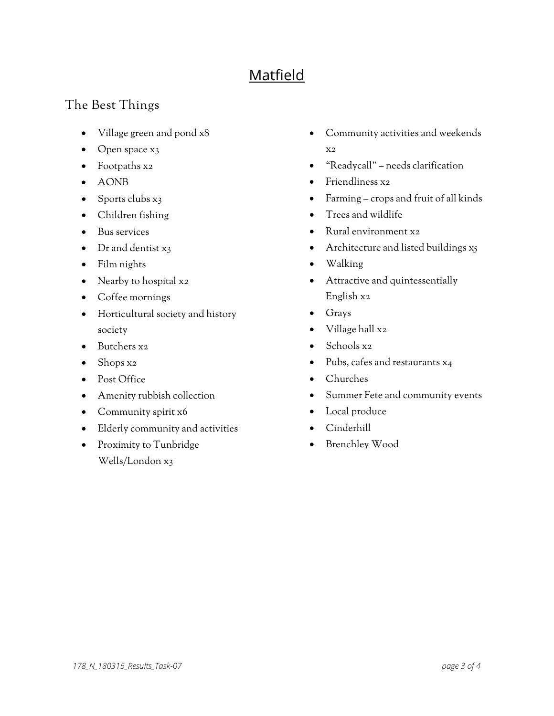# Matfield

## The Best Things

- Village green and pond x8
- Open space x<sub>3</sub>
- Footpaths x2
- AONB
- Sports clubs  $x_3$
- Children fishing
- Bus services
- Dr and dentist x3
- Film nights
- Nearby to hospital x2
- Coffee mornings
- Horticultural society and history society
- Butchers x2
- Shops x2
- Post Office
- Amenity rubbish collection
- Community spirit x6
- Elderly community and activities
- Proximity to Tunbridge Wells/London x3
- Community activities and weekends x2
- "Readycall" needs clarification
- Friendliness x2
- Farming crops and fruit of all kinds
- Trees and wildlife
- Rural environment x2
- Architecture and listed buildings x5
- Walking
- Attractive and quintessentially English x2
- Grays
- Village hall x2
- Schools x2
- Pubs, cafes and restaurants x4
- Churches
- Summer Fete and community events
- Local produce
- Cinderhill
- Brenchley Wood